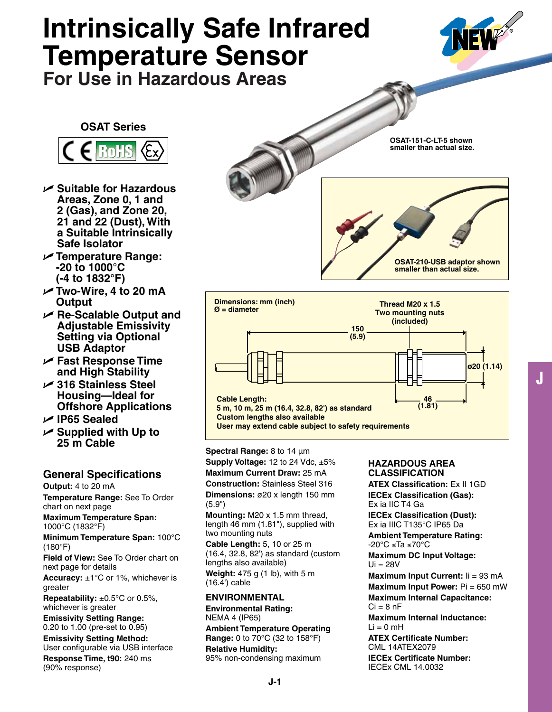## **Intrinsically Safe Infrared Temperature Sensor For Use in Hazardous Areas OSAT Series OSAT-151-C-LT-5 shown RoHS smaller than actual size.** ΕI U **Suitable for Hazardous Areas, Zone 0, 1 and 2 (Gas), and Zone 20, 21 and 22 (Dust), With a Suitable Intrinsically Safe Isolator** U **Temperature Range: OSAT-210-USB adaptor shown -20 to 1000°C smaller than actual size. (-4 to 1832°F)** U **Two-Wire, 4 to 20 mA Output Dimensions: mm (inch) Thread M20 x 1.5 Ø = diameterTwo mounting nuts** U **Re-Scalable Output and (included) Adjustable Emissivity 150 Setting via Optional (5.9) USB Adaptor** U **Fast Response Time ø20 (1.14) and High Stability** U **316 Stainless Steel Housing—Ideal for Cable Length: 46 (1.81) Offshore Applications 5 m, 10 m, 25 m (16.4, 32.8, 82') as standard Custom lengths also available** U **IP65 Sealed User may extend cable subject to safety requirements** U **Supplied with Up to 25 m Cable Spectral Range:** 8 to 14 μm **Supply Voltage:** 12 to 24 Vdc, ±5% **HAZARDOUS AREA CLASSIFICATION Maximum Current Draw:** 25 mA **General Specifications Construction:** Stainless Steel 316 **ATEX Classification:** Ex II 1GD **Output:** 4 to 20 mA **Dimensions:** ø20 x length 150 mm **IECEx Classification (Gas): Temperature Range:** See To Order (5.9") Ex ia IIC T4 Ga chart on next page **Mounting:** M20 x 1.5 mm thread, **IECEx Classification (Dust): Maximum Temperature Span:** length 46 mm (1.81"), supplied with Ex ia IIIC T135°C IP65 Da 1000°C (1832°F) two mounting nuts **Ambient Temperature Rating: Minimum Temperature Span:** 100°C **Cable Length:** 5, 10 or 25 m -20°C ≤Ta ≤70°C (180°F) (16.4, 32.8, 82') as standard (custom **Maximum DC Input Voltage: Field of View:** See To Order chart on lengths also available)  $U_i = 28V$ next page for details **Weight:** 475 g (1 lb), with 5 m **Maximum Input Current: Ii = 93 mA Accuracy:**  $\pm 1^{\circ}$ C or 1%, whichever is (16.4') cable greater **Maximum Input Power:** Pi = 650 mW **Repeatability:** ±0.5°C or 0.5%, **ENVIRONMENTAL Maximum Internal Capacitance:**  $Ci = 8 nF$ whichever is greater **Environmental Rating: Emissivity Setting Range:** NEMA 4 (IP65) **Maximum Internal Inductance:** 0.20 to 1.00 (pre-set to 0.95)  $Li = 0$  mH **Ambient Temperature Operating Range:** 0 to 70°C (32 to 158°F)

**Emissivity Setting Method:** User configurable via USB interface **Response Time, t90:** 240 ms

(90% response)

## **Relative Humidity:** 95% non-condensing maximum

## **J-1**

**ATEX Certificate Number:** CML 14ATEX2079 **IECEx Certificate Number:**

IECEx CML 14.0032